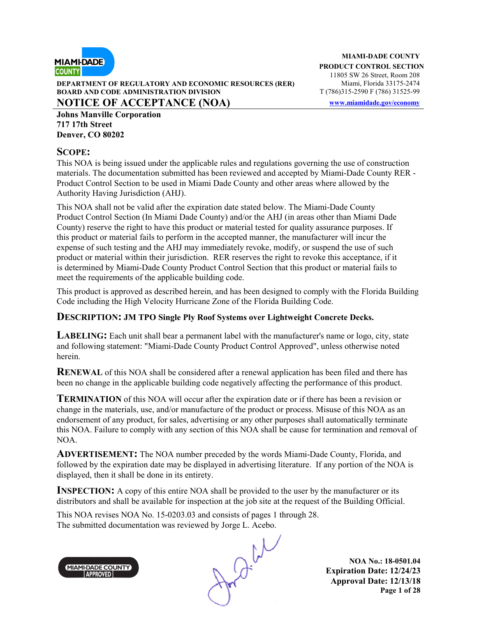

**DEPARTMENT OF REGULATORY AND ECONOMIC RESOURCES (RER)** Miami, Florida 33175-2474<br>**BOARD AND CODE ADMINISTRATION DIVISION** T (786)315-2590 F (786) 31525-99 **BOARD AND CODE ADMINISTRATION DIVISION** 

**NOTICE OF ACCEPTANCE (NOA) www.miamidade.gov/economy**

**Johns Manville Corporation 717 17th Street Denver, CO 80202** 

#### **SCOPE:**

This NOA is being issued under the applicable rules and regulations governing the use of construction materials. The documentation submitted has been reviewed and accepted by Miami-Dade County RER - Product Control Section to be used in Miami Dade County and other areas where allowed by the Authority Having Jurisdiction (AHJ).

This NOA shall not be valid after the expiration date stated below. The Miami-Dade County Product Control Section (In Miami Dade County) and/or the AHJ (in areas other than Miami Dade County) reserve the right to have this product or material tested for quality assurance purposes. If this product or material fails to perform in the accepted manner, the manufacturer will incur the expense of such testing and the AHJ may immediately revoke, modify, or suspend the use of such product or material within their jurisdiction. RER reserves the right to revoke this acceptance, if it is determined by Miami-Dade County Product Control Section that this product or material fails to meet the requirements of the applicable building code.

This product is approved as described herein, and has been designed to comply with the Florida Building Code including the High Velocity Hurricane Zone of the Florida Building Code.

#### **DESCRIPTION: JM TPO Single Ply Roof Systems over Lightweight Concrete Decks.**

**LABELING:** Each unit shall bear a permanent label with the manufacturer's name or logo, city, state and following statement: "Miami-Dade County Product Control Approved", unless otherwise noted herein.

**RENEWAL** of this NOA shall be considered after a renewal application has been filed and there has been no change in the applicable building code negatively affecting the performance of this product.

**TERMINATION** of this NOA will occur after the expiration date or if there has been a revision or change in the materials, use, and/or manufacture of the product or process. Misuse of this NOA as an endorsement of any product, for sales, advertising or any other purposes shall automatically terminate this NOA. Failure to comply with any section of this NOA shall be cause for termination and removal of NOA.

**ADVERTISEMENT:** The NOA number preceded by the words Miami-Dade County, Florida, and followed by the expiration date may be displayed in advertising literature. If any portion of the NOA is displayed, then it shall be done in its entirety.

**INSPECTION:** A copy of this entire NOA shall be provided to the user by the manufacturer or its distributors and shall be available for inspection at the job site at the request of the Building Official.

This NOA revises NOA No. 15-0203.03 and consists of pages 1 through 28. The submitted documentation was reviewed by Jorge L. Acebo.



 $Q^{t}$ 

**NOA No.: 18-0501.04 Expiration Date: 12/24/23 Approval Date: 12/13/18 Page 1 of 28**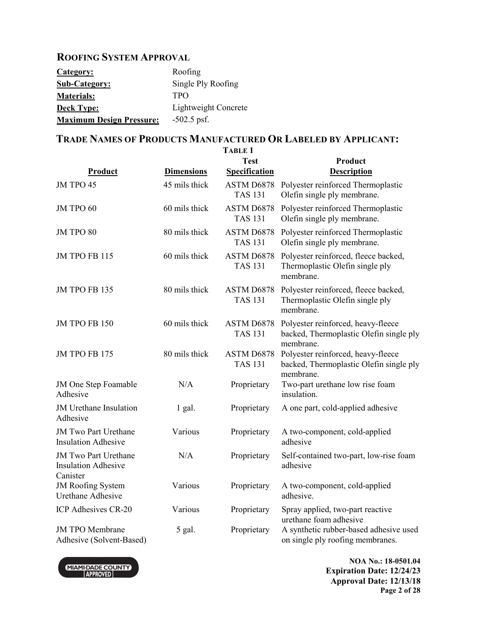## **ROOFING SYSTEM APPROVAL**

| Category:                       | Roofing              |
|---------------------------------|----------------------|
| <b>Sub-Category:</b>            | Single Ply Roofing   |
| <b>Materials:</b>               | <b>TPO</b>           |
| <b>Deck Type:</b>               | Lightweight Concrete |
| <b>Maximum Design Pressure:</b> | $-502.5$ psf.        |

## **TRADE NAMES OF PRODUCTS MANUFACTURED OR LABELED BY APPLICANT:**

|                                                                       |                   | <b>TABLE 1</b>                      |                                                                                            |
|-----------------------------------------------------------------------|-------------------|-------------------------------------|--------------------------------------------------------------------------------------------|
| Product                                                               | <b>Dimensions</b> | <b>Test</b><br><b>Specification</b> | Product<br><b>Description</b>                                                              |
| JM TPO 45                                                             | 45 mils thick     | ASTM D6878<br><b>TAS 131</b>        | Polyester reinforced Thermoplastic<br>Olefin single ply membrane.                          |
| JM TPO 60                                                             | 60 mils thick     | ASTM D6878<br><b>TAS 131</b>        | Polyester reinforced Thermoplastic<br>Olefin single ply membrane.                          |
| JM TPO 80                                                             | 80 mils thick     | ASTM D6878<br><b>TAS 131</b>        | Polyester reinforced Thermoplastic<br>Olefin single ply membrane.                          |
| JM TPO FB 115                                                         | 60 mils thick     | ASTM D6878<br><b>TAS 131</b>        | Polyester reinforced, fleece backed,<br>Thermoplastic Olefin single ply<br>membrane        |
| JM TPO FB 135                                                         | 80 mils thick     | ASTM D6878<br><b>TAS 131</b>        | Polyester reinforced, fleece backed,<br>Thermoplastic Olefin single ply<br>membrane.       |
| <b>JM TPO FB 150</b>                                                  | 60 mils thick     | ASTM D6878<br><b>TAS 131</b>        | Polyester reinforced, heavy-fleece<br>backed, Thermoplastic Olefin single ply<br>membrane. |
| <b>JM TPO FB 175</b>                                                  | 80 mils thick     | ASTM D6878<br><b>TAS 131</b>        | Polyester reinforced, heavy-fleece<br>backed, Thermoplastic Olefin single ply<br>membrane. |
| JM One Step Foamable<br>Adhesive                                      | N/A               | Proprietary                         | Two-part urethane low rise foam<br>insulation.                                             |
| <b>JM</b> Urethane Insulation<br>Adhesive                             | $1$ gal.          | Proprietary                         | A one part, cold-applied adhesive                                                          |
| <b>JM Two Part Urethane</b><br><b>Insulation Adhesive</b>             | Various           | Proprietary                         | A two-component, cold-applied<br>adhesive                                                  |
| <b>JM Two Part Urethane</b><br><b>Insulation Adhesive</b><br>Canister | N/A               | Proprietary                         | Self-contained two-part, low-rise foam<br>adhesive                                         |
| <b>JM Roofing System</b><br><b>Urethane Adhesive</b>                  | Various           | Proprietary                         | A two-component, cold-applied<br>adhesive.                                                 |
| ICP Adhesives CR-20                                                   | Various           | Proprietary                         | Spray applied, two-part reactive<br>urethane foam adhesive                                 |
| <b>JM TPO Membrane</b><br>Adhesive (Solvent-Based)                    | 5 gal.            | Proprietary                         | A synthetic rubber-based adhesive used<br>on single ply roofing membranes.                 |

Adhesive (Solvent-Based)



**NOA No.: 18-0501.04 Expiration Date: 12/24/23 Approval Date: 12/13/18 Page 2 of 28**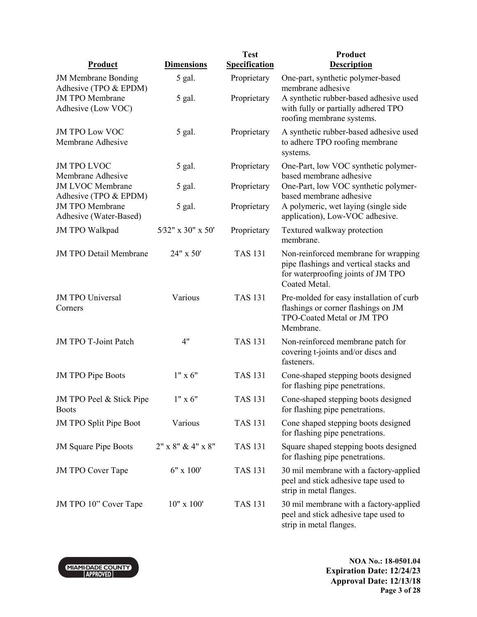|                                                     |                           | <b>Test</b>          | Product                                                                                                                               |
|-----------------------------------------------------|---------------------------|----------------------|---------------------------------------------------------------------------------------------------------------------------------------|
| <b>Product</b>                                      | <b>Dimensions</b>         | <b>Specification</b> | <b>Description</b>                                                                                                                    |
| <b>JM Membrane Bonding</b><br>Adhesive (TPO & EPDM) | 5 gal.                    | Proprietary          | One-part, synthetic polymer-based<br>membrane adhesive                                                                                |
| <b>JM TPO Membrane</b><br>Adhesive (Low VOC)        | 5 gal.                    | Proprietary          | A synthetic rubber-based adhesive used<br>with fully or partially adhered TPO<br>roofing membrane systems.                            |
| <b>JM TPO Low VOC</b><br>Membrane Adhesive          | 5 gal.                    | Proprietary          | A synthetic rubber-based adhesive used<br>to adhere TPO roofing membrane<br>systems.                                                  |
| <b>JM TPO LVOC</b><br>Membrane Adhesive             | 5 gal.                    | Proprietary          | One-Part, low VOC synthetic polymer-<br>based membrane adhesive                                                                       |
| <b>JM LVOC Membrane</b><br>Adhesive (TPO & EPDM)    | 5 gal.                    | Proprietary          | One-Part, low VOC synthetic polymer-<br>based membrane adhesive                                                                       |
| <b>JM TPO Membrane</b><br>Adhesive (Water-Based)    | 5 gal.                    | Proprietary          | A polymeric, wet laying (single side<br>application), Low-VOC adhesive.                                                               |
| <b>JM TPO Walkpad</b>                               | 5/32" x 30" x 50"         | Proprietary          | Textured walkway protection<br>membrane.                                                                                              |
| <b>JM TPO Detail Membrane</b>                       | 24" x 50'                 | <b>TAS 131</b>       | Non-reinforced membrane for wrapping<br>pipe flashings and vertical stacks and<br>for waterproofing joints of JM TPO<br>Coated Metal. |
| <b>JM TPO Universal</b><br>Corners                  | Various                   | <b>TAS 131</b>       | Pre-molded for easy installation of curb<br>flashings or corner flashings on JM<br>TPO-Coated Metal or JM TPO<br>Membrane.            |
| JM TPO T-Joint Patch                                | 4"                        | <b>TAS 131</b>       | Non-reinforced membrane patch for<br>covering t-joints and/or discs and<br>fasteners.                                                 |
| <b>JM TPO Pipe Boots</b>                            | $1" \times 6"$            | <b>TAS 131</b>       | Cone-shaped stepping boots designed<br>for flashing pipe penetrations.                                                                |
| JM TPO Peel & Stick Pipe<br><b>Boots</b>            | $1" \times 6"$            | <b>TAS 131</b>       | Cone-shaped stepping boots designed<br>for flashing pipe penetrations.                                                                |
| <b>JM TPO Split Pipe Boot</b>                       | Various                   | <b>TAS 131</b>       | Cone shaped stepping boots designed<br>for flashing pipe penetrations.                                                                |
| <b>JM Square Pipe Boots</b>                         | $2"$ x $8"$ & $4"$ x $8"$ | <b>TAS 131</b>       | Square shaped stepping boots designed<br>for flashing pipe penetrations.                                                              |
| <b>JM TPO Cover Tape</b>                            | $6" \times 100"$          | <b>TAS 131</b>       | 30 mil membrane with a factory-applied<br>peel and stick adhesive tape used to<br>strip in metal flanges.                             |
| JM TPO 10" Cover Tape                               | $10" \times 100'$         | <b>TAS 131</b>       | 30 mil membrane with a factory-applied<br>peel and stick adhesive tape used to<br>strip in metal flanges.                             |

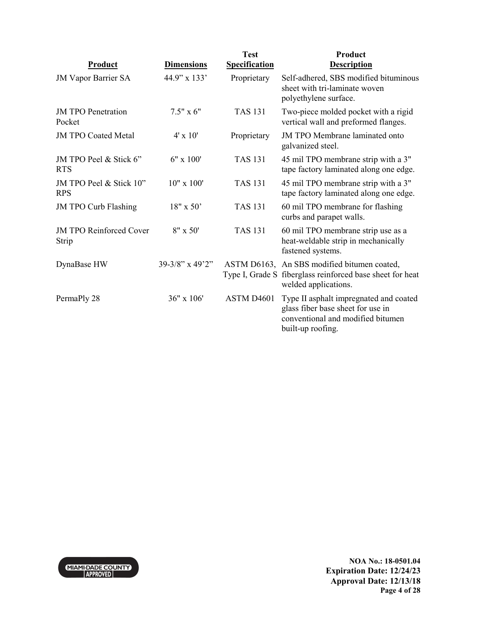| <b>Product</b>                          | <b>Dimensions</b> | <b>Test</b><br><b>Specification</b> | Product<br><b>Description</b>                                                                                                         |
|-----------------------------------------|-------------------|-------------------------------------|---------------------------------------------------------------------------------------------------------------------------------------|
| <b>JM Vapor Barrier SA</b>              | 44.9" x 133'      | Proprietary                         | Self-adhered, SBS modified bituminous<br>sheet with tri-laminate woven<br>polyethylene surface.                                       |
| <b>JM TPO Penetration</b><br>Pocket     | $7.5" \times 6"$  | <b>TAS 131</b>                      | Two-piece molded pocket with a rigid<br>vertical wall and preformed flanges.                                                          |
| <b>JM TPO Coated Metal</b>              | $4' \times 10'$   | Proprietary                         | <b>JM TPO Membrane laminated onto</b><br>galvanized steel.                                                                            |
| JM TPO Peel & Stick 6"<br><b>RTS</b>    | $6" \times 100"$  | <b>TAS 131</b>                      | 45 mil TPO membrane strip with a 3"<br>tape factory laminated along one edge.                                                         |
| JM TPO Peel & Stick 10"<br><b>RPS</b>   | $10" \times 100'$ | <b>TAS 131</b>                      | 45 mil TPO membrane strip with a 3"<br>tape factory laminated along one edge.                                                         |
| <b>JM TPO Curb Flashing</b>             | $18" \times 50'$  | <b>TAS 131</b>                      | 60 mil TPO membrane for flashing<br>curbs and parapet walls.                                                                          |
| <b>JM TPO Reinforced Cover</b><br>Strip | $8'' \times 50'$  | <b>TAS 131</b>                      | 60 mil TPO membrane strip use as a<br>heat-weldable strip in mechanically<br>fastened systems.                                        |
| DynaBase HW                             | 39-3/8" x 49'2"   |                                     | ASTM D6163, An SBS modified bitumen coated,<br>Type I, Grade S fiberglass reinforced base sheet for heat<br>welded applications.      |
| PermaPly 28                             | 36" x 106'        | ASTM D4601                          | Type II asphalt impregnated and coated<br>glass fiber base sheet for use in<br>conventional and modified bitumen<br>built-up roofing. |

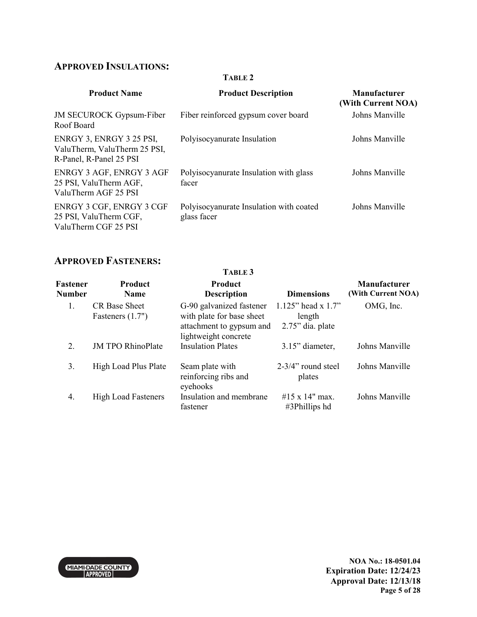## **APPROVED INSULATIONS:**

#### **TABLE 2**

| <b>Product Name</b>                                                                 | <b>Product Description</b>                             | Manufacturer<br>(With Current NOA) |
|-------------------------------------------------------------------------------------|--------------------------------------------------------|------------------------------------|
| <b>JM SECUROCK Gypsum-Fiber</b><br>Roof Board                                       | Fiber reinforced gypsum cover board                    | Johns Manville                     |
| ENRGY 3, ENRGY 3 25 PSI,<br>ValuTherm, ValuTherm 25 PSI,<br>R-Panel, R-Panel 25 PSI | Polyisocyanurate Insulation                            | Johns Manville                     |
| ENRGY 3 AGF, ENRGY 3 AGF<br>25 PSI, ValuTherm AGF,<br>ValuTherm AGF 25 PSI          | Polyisocyanurate Insulation with glass<br>facer        | Johns Manville                     |
| ENRGY 3 CGF, ENRGY 3 CGF<br>25 PSI, ValuTherm CGF,<br>ValuTherm CGF 25 PSI          | Polyisocyanurate Insulation with coated<br>glass facer | Johns Manville                     |

## **APPROVED FASTENERS:**

|                           |                                            | TABLE 3                                                                                                   |                                                       |                                           |
|---------------------------|--------------------------------------------|-----------------------------------------------------------------------------------------------------------|-------------------------------------------------------|-------------------------------------------|
| Fastener<br><b>Number</b> | <b>Product</b><br><b>Name</b>              | <b>Product</b><br><b>Description</b>                                                                      | <b>Dimensions</b>                                     | <b>Manufacturer</b><br>(With Current NOA) |
| 1.                        | <b>CR</b> Base Sheet<br>Fasteners $(1.7")$ | G-90 galvanized fastener<br>with plate for base sheet<br>attachment to gypsum and<br>lightweight concrete | 1.125" head x $1.7"$<br>length<br>$2.75$ " dia. plate | OMG, Inc.                                 |
| 2.                        | <b>JM TPO RhinoPlate</b>                   | <b>Insulation Plates</b>                                                                                  | 3.15" diameter,                                       | Johns Manville                            |
| 3.                        | High Load Plus Plate                       | Seam plate with<br>reinforcing ribs and<br>eyehooks                                                       | 2-3/4" round steel<br>plates                          | Johns Manville                            |
| 4.                        | <b>High Load Fasteners</b>                 | Insulation and membrane<br>fastener                                                                       | #15 x 14" max.<br>#3Phillips hd                       | Johns Manville                            |

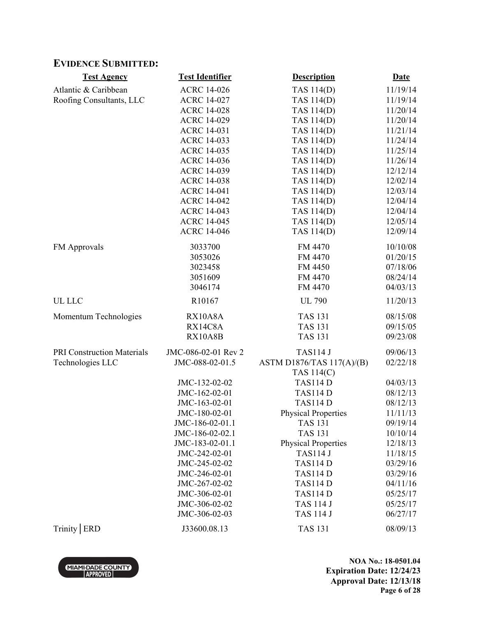## **EVIDENCE SUBMITTED:**

| <b>Test Agency</b>                | <b>Test Identifier</b> | <b>Description</b>         | <b>Date</b> |
|-----------------------------------|------------------------|----------------------------|-------------|
| Atlantic & Caribbean              | <b>ACRC 14-026</b>     | TAS 114(D)                 | 11/19/14    |
| Roofing Consultants, LLC          | <b>ACRC 14-027</b>     | <b>TAS 114(D)</b>          | 11/19/14    |
|                                   | <b>ACRC 14-028</b>     | <b>TAS 114(D)</b>          | 11/20/14    |
|                                   | <b>ACRC 14-029</b>     | <b>TAS 114(D)</b>          | 11/20/14    |
|                                   | <b>ACRC 14-031</b>     | <b>TAS 114(D)</b>          | 11/21/14    |
|                                   | <b>ACRC 14-033</b>     | <b>TAS 114(D)</b>          | 11/24/14    |
|                                   | <b>ACRC 14-035</b>     | <b>TAS 114(D)</b>          | 11/25/14    |
|                                   | <b>ACRC 14-036</b>     | <b>TAS 114(D)</b>          | 11/26/14    |
|                                   | <b>ACRC 14-039</b>     | <b>TAS 114(D)</b>          | 12/12/14    |
|                                   | <b>ACRC 14-038</b>     | <b>TAS 114(D)</b>          | 12/02/14    |
|                                   | <b>ACRC 14-041</b>     | <b>TAS 114(D)</b>          | 12/03/14    |
|                                   | <b>ACRC 14-042</b>     | <b>TAS 114(D)</b>          | 12/04/14    |
|                                   | <b>ACRC 14-043</b>     | <b>TAS 114(D)</b>          | 12/04/14    |
|                                   | <b>ACRC 14-045</b>     | <b>TAS 114(D)</b>          | 12/05/14    |
|                                   | <b>ACRC 14-046</b>     | <b>TAS 114(D)</b>          | 12/09/14    |
| FM Approvals                      | 3033700                | FM 4470                    | 10/10/08    |
|                                   | 3053026                | FM 4470                    | 01/20/15    |
|                                   | 3023458                | FM 4450                    | 07/18/06    |
|                                   | 3051609                | FM 4470                    | 08/24/14    |
|                                   | 3046174                | FM 4470                    | 04/03/13    |
| UL LLC                            | R10167                 | <b>UL 790</b>              | 11/20/13    |
| Momentum Technologies             | RX10A8A                | <b>TAS 131</b>             | 08/15/08    |
|                                   | RX14C8A                | <b>TAS 131</b>             | 09/15/05    |
|                                   | RX10A8B                | <b>TAS 131</b>             | 09/23/08    |
| <b>PRI Construction Materials</b> | JMC-086-02-01 Rev 2    | <b>TAS114 J</b>            | 09/06/13    |
| Technologies LLC                  | JMC-088-02-01.5        | ASTM D1876/TAS 117(A)/(B)  | 02/22/18    |
|                                   |                        | TAS 114(C)                 |             |
|                                   | JMC-132-02-02          | <b>TAS114D</b>             | 04/03/13    |
|                                   | JMC-162-02-01          | <b>TAS114D</b>             | 08/12/13    |
|                                   | JMC-163-02-01          | <b>TAS114D</b>             | 08/12/13    |
|                                   | JMC-180-02-01          | <b>Physical Properties</b> | 11/11/13    |
|                                   | JMC-186-02-01.1        | TAS 131                    | 09/19/14    |
|                                   | JMC-186-02-02.1        | <b>TAS 131</b>             | 10/10/14    |
|                                   | JMC-183-02-01.1        | <b>Physical Properties</b> | 12/18/13    |
|                                   | JMC-242-02-01          | <b>TAS114 J</b>            | 11/18/15    |
|                                   | JMC-245-02-02          | <b>TAS114D</b>             | 03/29/16    |
|                                   | JMC-246-02-01          | <b>TAS114 D</b>            | 03/29/16    |
|                                   | JMC-267-02-02          | <b>TAS114D</b>             | 04/11/16    |
|                                   | JMC-306-02-01          | <b>TAS114 D</b>            | 05/25/17    |
|                                   | JMC-306-02-02          | <b>TAS 114 J</b>           | 05/25/17    |
|                                   | JMC-306-02-03          | <b>TAS 114 J</b>           | 06/27/17    |
| Trinity   ERD                     | J33600.08.13           | <b>TAS 131</b>             | 08/09/13    |

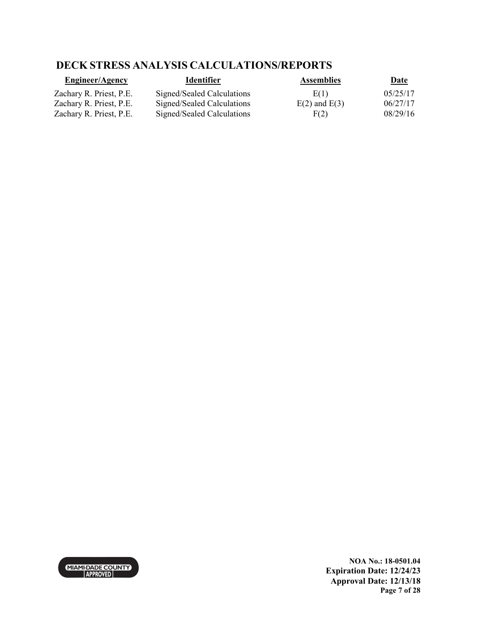## **DECK STRESS ANALYSIS CALCULATIONS/REPORTS**

| <b>Engineer/Agency</b>  | <b>Identifier</b>          | <b>Assemblies</b> | <u>Date</u> |
|-------------------------|----------------------------|-------------------|-------------|
| Zachary R. Priest, P.E. | Signed/Sealed Calculations | E(1)              | 05/25/17    |
| Zachary R. Priest, P.E. | Signed/Sealed Calculations | $E(2)$ and $E(3)$ | 06/27/17    |
| Zachary R. Priest, P.E. | Signed/Sealed Calculations | F(2)              | 08/29/16    |



**NOA No.: 18-0501.04 Expiration Date: 12/24/23 Approval Date: 12/13/18 Page 7 of 28**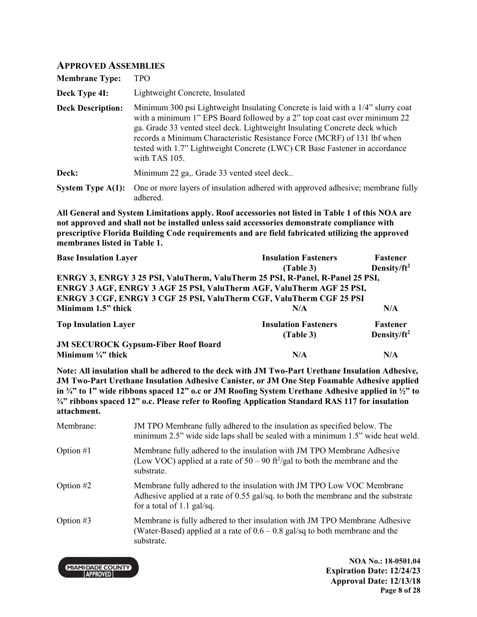#### **APPROVED ASSEMBLIES**

| <b>Membrane Type:</b>    | TPO                                                                                                                                                                                                                                                                                                                                                                                                                    |
|--------------------------|------------------------------------------------------------------------------------------------------------------------------------------------------------------------------------------------------------------------------------------------------------------------------------------------------------------------------------------------------------------------------------------------------------------------|
| Deck Type 4I:            | Lightweight Concrete, Insulated                                                                                                                                                                                                                                                                                                                                                                                        |
| <b>Deck Description:</b> | Minimum 300 psi Lightweight Insulating Concrete is laid with a 1/4" slurry coat<br>with a minimum 1" EPS Board followed by a 2" top coat cast over minimum 22<br>ga. Grade 33 vented steel deck. Lightweight Insulating Concrete deck which<br>records a Minimum Characteristic Resistance Force (MCRF) of 131 lbf when<br>tested with 1.7" Lightweight Concrete (LWC) CR Base Fastener in accordance<br>with TAS 105. |
| Deck:                    | Minimum 22 ga,. Grade 33 vented steel deck                                                                                                                                                                                                                                                                                                                                                                             |
| System Type $A(1)$ :     | One or more layers of insulation adhered with approved adhesive; membrane fully<br>adhered.                                                                                                                                                                                                                                                                                                                            |

**All General and System Limitations apply. Roof accessories not listed in Table 1 of this NOA are not approved and shall not be installed unless said accessories demonstrate compliance with prescriptive Florida Building Code requirements and are field fabricated utilizing the approved membranes listed in Table 1.**

| <b>Base Insulation Layer</b>                                                   | <b>Insulation Fasteners</b> | <b>Fastener</b>         |
|--------------------------------------------------------------------------------|-----------------------------|-------------------------|
|                                                                                | (Table 3)                   | Density/ft <sup>2</sup> |
| ENRGY 3, ENRGY 3 25 PSI, ValuTherm, ValuTherm 25 PSI, R-Panel, R-Panel 25 PSI, |                             |                         |
| ENRGY 3 AGF, ENRGY 3 AGF 25 PSI, ValuTherm AGF, ValuTherm AGF 25 PSI,          |                             |                         |
| ENRGY 3 CGF, ENRGY 3 CGF 25 PSI, ValuTherm CGF, ValuTherm CGF 25 PSI           |                             |                         |
| Minimum 1.5" thick                                                             | N/A                         | N/A                     |
| <b>Top Insulation Layer</b>                                                    | <b>Insulation Fasteners</b> | <b>Fastener</b>         |
|                                                                                | (Table 3)                   | Density/ $ft^2$         |
| <b>JM SECUROCK Gypsum-Fiber Roof Board</b>                                     |                             |                         |
| Minimum $\frac{1}{4}$ " thick                                                  | N/A                         | N/A                     |

**Note: All insulation shall be adhered to the deck with JM Two-Part Urethane Insulation Adhesive, JM Two-Part Urethane Insulation Adhesive Canister, or JM One Step Foamable Adhesive applied in ¾" to 1" wide ribbons spaced 12" o.c or JM Roofing System Urethane Adhesive applied in ½" to ¾" ribbons spaced 12" o.c. Please refer to Roofing Application Standard RAS 117 for insulation attachment.**

| Membrane:   | JM TPO Membrane fully adhered to the insulation as specified below. The<br>minimum 2.5" wide side laps shall be sealed with a minimum 1.5" wide heat weld.                                 |
|-------------|--------------------------------------------------------------------------------------------------------------------------------------------------------------------------------------------|
| Option $#1$ | Membrane fully adhered to the insulation with JM TPO Membrane Adhesive<br>(Low VOC) applied at a rate of $50 - 90$ ft <sup>2</sup> /gal to both the membrane and the<br>substrate.         |
| Option $#2$ | Membrane fully adhered to the insulation with JM TPO Low VOC Membrane<br>Adhesive applied at a rate of 0.55 gal/sq. to both the membrane and the substrate<br>for a total of $1.1$ gal/sq. |
| Option $#3$ | Membrane is fully adhered to ther insulation with JM TPO Membrane Adhesive<br>(Water-Based) applied at a rate of $0.6 - 0.8$ gal/sq to both membrane and the<br>substrate.                 |

**MIAMI-DADE COUNTY APPROVED** 

**NOA No.: 18-0501.04 Expiration Date: 12/24/23 Approval Date: 12/13/18 Page 8 of 28**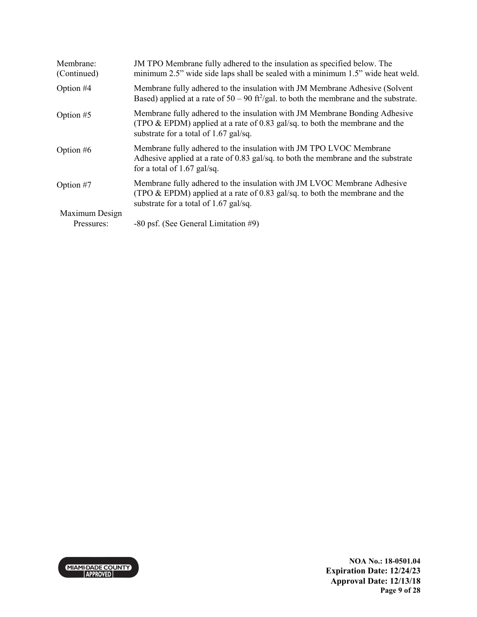| Membrane:<br>(Continued) | JM TPO Membrane fully adhered to the insulation as specified below. The<br>minimum 2.5" wide side laps shall be sealed with a minimum 1.5" wide heat weld.                                            |
|--------------------------|-------------------------------------------------------------------------------------------------------------------------------------------------------------------------------------------------------|
| Option #4                | Membrane fully adhered to the insulation with JM Membrane Adhesive (Solvent<br>Based) applied at a rate of $50 - 90$ ft <sup>2</sup> /gal. to both the membrane and the substrate.                    |
| Option #5                | Membrane fully adhered to the insulation with JM Membrane Bonding Adhesive<br>(TPO $\&$ EPDM) applied at a rate of 0.83 gal/sq. to both the membrane and the<br>substrate for a total of 1.67 gal/sq. |
| Option $#6$              | Membrane fully adhered to the insulation with JM TPO LVOC Membrane<br>Adhesive applied at a rate of 0.83 gal/sq. to both the membrane and the substrate<br>for a total of $1.67$ gal/sq.              |
| Option #7                | Membrane fully adhered to the insulation with JM LVOC Membrane Adhesive<br>(TPO $\&$ EPDM) applied at a rate of 0.83 gal/sq. to both the membrane and the<br>substrate for a total of 1.67 gal/sq.    |
| Maximum Design           |                                                                                                                                                                                                       |
| Pressures:               | -80 psf. (See General Limitation #9)                                                                                                                                                                  |

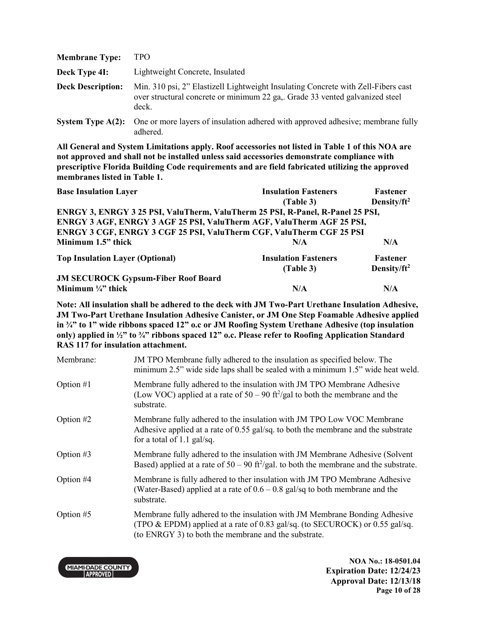| <b>Membrane Type:</b>    | <b>TPO</b>                                                                                                                                                                 |
|--------------------------|----------------------------------------------------------------------------------------------------------------------------------------------------------------------------|
| Deck Type 4I:            | Lightweight Concrete, Insulated                                                                                                                                            |
| <b>Deck Description:</b> | Min. 310 psi, 2" Elastizell Lightweight Insulating Concrete with Zell-Fibers cast<br>over structural concrete or minimum 22 ga,. Grade 33 vented galvanized steel<br>deck. |
|                          | System Type A(2): One or more layers of insulation adhered with approved adhesive; membrane fully                                                                          |

**All General and System Limitations apply. Roof accessories not listed in Table 1 of this NOA are not approved and shall not be installed unless said accessories demonstrate compliance with prescriptive Florida Building Code requirements and are field fabricated utilizing the approved membranes listed in Table 1.**

adhered.

| <b>Base Insulation Layer</b>                                                   | <b>Insulation Fasteners</b> | <b>Fastener</b>         |
|--------------------------------------------------------------------------------|-----------------------------|-------------------------|
|                                                                                | (Table 3)                   | Density/ft <sup>2</sup> |
| ENRGY 3, ENRGY 3 25 PSI, ValuTherm, ValuTherm 25 PSI, R-Panel, R-Panel 25 PSI, |                             |                         |
| ENRGY 3 AGF, ENRGY 3 AGF 25 PSI, ValuTherm AGF, ValuTherm AGF 25 PSI,          |                             |                         |
| ENRGY 3 CGF, ENRGY 3 CGF 25 PSI, ValuTherm CGF, ValuTherm CGF 25 PSI           |                             |                         |
| Minimum 1.5" thick                                                             | N/A                         | N/A                     |
| <b>Top Insulation Layer (Optional)</b>                                         | <b>Insulation Fasteners</b> | <b>Fastener</b>         |
|                                                                                | (Table 3)                   | Density/ft <sup>2</sup> |
| <b>JM SECUROCK Gypsum-Fiber Roof Board</b>                                     |                             |                         |
| Minimum $\frac{1}{4}$ thick                                                    | N/A                         | N/A                     |

**Note: All insulation shall be adhered to the deck with JM Two-Part Urethane Insulation Adhesive, JM Two-Part Urethane Insulation Adhesive Canister, or JM One Step Foamable Adhesive applied in ¾" to 1" wide ribbons spaced 12" o.c or JM Roofing System Urethane Adhesive (top insulation only) applied in ½" to ¾" ribbons spaced 12" o.c. Please refer to Roofing Application Standard RAS 117 for insulation attachment.**

| Membrane:   | JM TPO Membrane fully adhered to the insulation as specified below. The<br>minimum 2.5" wide side laps shall be sealed with a minimum 1.5" wide heat weld.                                                         |
|-------------|--------------------------------------------------------------------------------------------------------------------------------------------------------------------------------------------------------------------|
| Option $#1$ | Membrane fully adhered to the insulation with JM TPO Membrane Adhesive<br>(Low VOC) applied at a rate of $50 - 90$ ft <sup>2</sup> /gal to both the membrane and the<br>substrate.                                 |
| Option $#2$ | Membrane fully adhered to the insulation with JM TPO Low VOC Membrane<br>Adhesive applied at a rate of 0.55 gal/sq. to both the membrane and the substrate<br>for a total of 1.1 gal/sq.                           |
| Option $#3$ | Membrane fully adhered to the insulation with JM Membrane Adhesive (Solvent<br>Based) applied at a rate of $50 - 90$ ft <sup>2</sup> /gal. to both the membrane and the substrate.                                 |
| Option #4   | Membrane is fully adhered to ther insulation with JM TPO Membrane Adhesive<br>(Water-Based) applied at a rate of $0.6 - 0.8$ gal/sq to both membrane and the<br>substrate.                                         |
| Option #5   | Membrane fully adhered to the insulation with JM Membrane Bonding Adhesive<br>(TPO & EPDM) applied at a rate of 0.83 gal/sq. (to SECUROCK) or 0.55 gal/sq.<br>(to ENRGY 3) to both the membrane and the substrate. |



**NOA No.: 18-0501.04 Expiration Date: 12/24/23 Approval Date: 12/13/18 Page 10 of 28**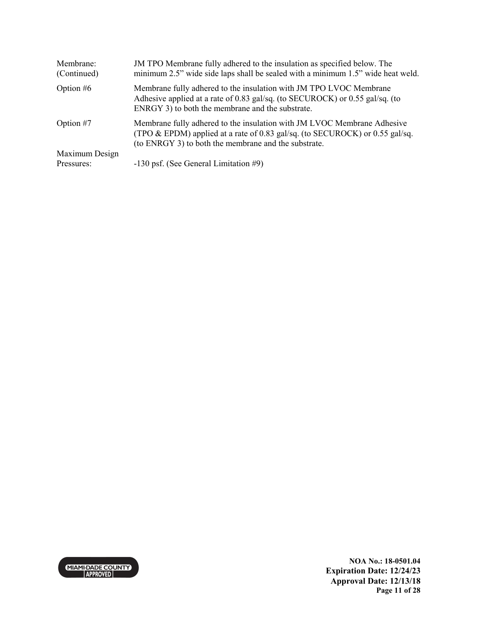| Membrane:<br>(Continued) | JM TPO Membrane fully adhered to the insulation as specified below. The<br>minimum 2.5" wide side laps shall be sealed with a minimum 1.5" wide heat weld.                                                      |
|--------------------------|-----------------------------------------------------------------------------------------------------------------------------------------------------------------------------------------------------------------|
| Option $#6$              | Membrane fully adhered to the insulation with JM TPO LVOC Membrane<br>Adhesive applied at a rate of 0.83 gal/sq. (to SECUROCK) or 0.55 gal/sq. (to<br>ENRGY 3) to both the membrane and the substrate.          |
| Option $#7$              | Membrane fully adhered to the insulation with JM LVOC Membrane Adhesive<br>(TPO & EPDM) applied at a rate of 0.83 gal/sq. (to SECUROCK) or 0.55 gal/sq.<br>(to ENRGY 3) to both the membrane and the substrate. |
| Maximum Design           |                                                                                                                                                                                                                 |
| Pressures:               | -130 psf. (See General Limitation #9)                                                                                                                                                                           |

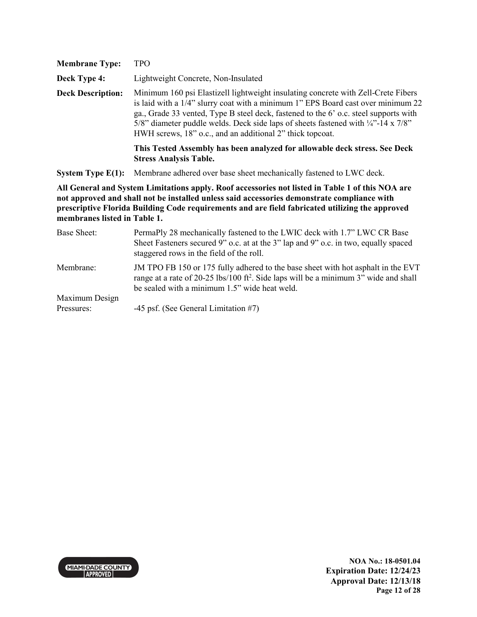| <b>Membrane Type:</b>        | <b>TPO</b>                                                                                                                                                                                                                                                                                                                                                                                                                 |
|------------------------------|----------------------------------------------------------------------------------------------------------------------------------------------------------------------------------------------------------------------------------------------------------------------------------------------------------------------------------------------------------------------------------------------------------------------------|
| Deck Type 4:                 | Lightweight Concrete, Non-Insulated                                                                                                                                                                                                                                                                                                                                                                                        |
| <b>Deck Description:</b>     | Minimum 160 psi Elastizell lightweight insulating concrete with Zell-Crete Fibers<br>is laid with a 1/4" slurry coat with a minimum 1" EPS Board cast over minimum 22<br>ga., Grade 33 vented, Type B steel deck, fastened to the 6' o.c. steel supports with<br>5/8" diameter puddle welds. Deck side laps of sheets fastened with $\frac{1}{4}$ "-14 x 7/8"<br>HWH screws, 18" o.c., and an additional 2" thick topcoat. |
|                              | This Tested Assembly has been analyzed for allowable deck stress. See Deck<br><b>Stress Analysis Table.</b>                                                                                                                                                                                                                                                                                                                |
| System Type $E(1)$ :         | Membrane adhered over base sheet mechanically fastened to LWC deck.                                                                                                                                                                                                                                                                                                                                                        |
| membranes listed in Table 1. | All General and System Limitations apply. Roof accessories not listed in Table 1 of this NOA are<br>not approved and shall not be installed unless said accessories demonstrate compliance with<br>prescriptive Florida Building Code requirements and are field fabricated utilizing the approved                                                                                                                         |
| Base Sheet:                  | PermaPly 28 mechanically fastened to the LWIC deck with 1.7" LWC CR Base<br>Sheet Fasteners secured 9" o.c. at at the 3" lap and 9" o.c. in two, equally spaced<br>staggered rows in the field of the roll.                                                                                                                                                                                                                |
| Membrane:                    | JM TPO FB 150 or 175 fully adhered to the base sheet with hot asphalt in the EVT<br>range at a rate of 20-25 lbs/100 ft <sup>2</sup> . Side laps will be a minimum 3" wide and shall                                                                                                                                                                                                                                       |

be sealed with a minimum 1.5" wide heat weld.

Maximum Design -45 psf. (See General Limitation #7)

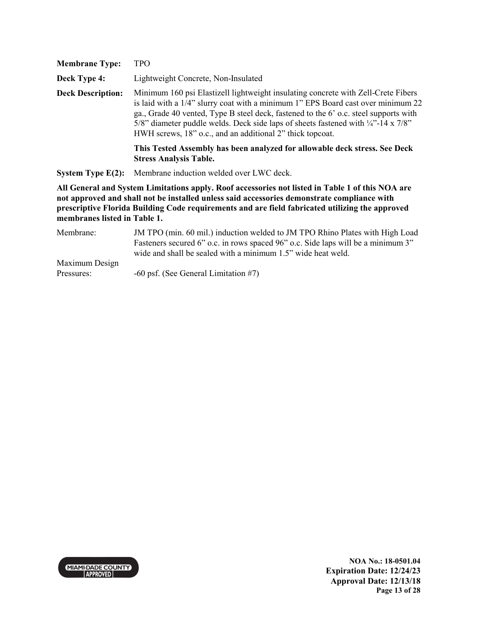| <b>Membrane Type:</b>        | <b>TPO</b>                                                                                                                                                                                                                                                                                                                                                                                                                 |
|------------------------------|----------------------------------------------------------------------------------------------------------------------------------------------------------------------------------------------------------------------------------------------------------------------------------------------------------------------------------------------------------------------------------------------------------------------------|
| Deck Type 4:                 | Lightweight Concrete, Non-Insulated                                                                                                                                                                                                                                                                                                                                                                                        |
| <b>Deck Description:</b>     | Minimum 160 psi Elastizell lightweight insulating concrete with Zell-Crete Fibers<br>is laid with a 1/4" slurry coat with a minimum 1" EPS Board cast over minimum 22<br>ga., Grade 40 vented, Type B steel deck, fastened to the 6' o.c. steel supports with<br>5/8" diameter puddle welds. Deck side laps of sheets fastened with $\frac{1}{4}$ "-14 x 7/8"<br>HWH screws, 18" o.c., and an additional 2" thick topcoat. |
|                              | This Tested Assembly has been analyzed for allowable deck stress. See Deck<br><b>Stress Analysis Table.</b>                                                                                                                                                                                                                                                                                                                |
| System Type $E(2)$ :         | Membrane induction welded over LWC deck.                                                                                                                                                                                                                                                                                                                                                                                   |
| membranes listed in Table 1. | All General and System Limitations apply. Roof accessories not listed in Table 1 of this NOA are<br>not approved and shall not be installed unless said accessories demonstrate compliance with<br>prescriptive Florida Building Code requirements and are field fabricated utilizing the approved                                                                                                                         |
| Membrane:                    | JM TPO (min. 60 mil.) induction welded to JM TPO Rhino Plates with High Load<br>Fasteners secured 6" o.c. in rows spaced 96" o.c. Side laps will be a minimum 3"<br>wide and shall be sealed with a minimum 1.5" wide heat weld.                                                                                                                                                                                           |
| Maximum Design               |                                                                                                                                                                                                                                                                                                                                                                                                                            |
| Pressures:                   | $-60$ psf. (See General Limitation #7)                                                                                                                                                                                                                                                                                                                                                                                     |

-60 psf. (See General Limitation #7)

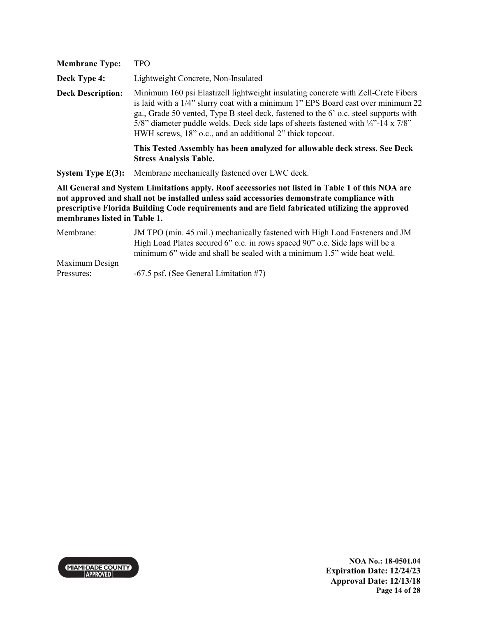| <b>Membrane Type:</b>        | <b>TPO</b>                                                                                                                                                                                                                                                                                                                                                                                                                 |
|------------------------------|----------------------------------------------------------------------------------------------------------------------------------------------------------------------------------------------------------------------------------------------------------------------------------------------------------------------------------------------------------------------------------------------------------------------------|
| Deck Type 4:                 | Lightweight Concrete, Non-Insulated                                                                                                                                                                                                                                                                                                                                                                                        |
| <b>Deck Description:</b>     | Minimum 160 psi Elastizell lightweight insulating concrete with Zell-Crete Fibers<br>is laid with a 1/4" slurry coat with a minimum 1" EPS Board cast over minimum 22<br>ga., Grade 50 vented, Type B steel deck, fastened to the 6' o.c. steel supports with<br>5/8" diameter puddle welds. Deck side laps of sheets fastened with $\frac{1}{4}$ "-14 x 7/8"<br>HWH screws, 18" o.c., and an additional 2" thick topcoat. |
|                              | This Tested Assembly has been analyzed for allowable deck stress. See Deck<br><b>Stress Analysis Table.</b>                                                                                                                                                                                                                                                                                                                |
| <b>System Type E(3):</b>     | Membrane mechanically fastened over LWC deck.                                                                                                                                                                                                                                                                                                                                                                              |
| membranes listed in Table 1. | All General and System Limitations apply. Roof accessories not listed in Table 1 of this NOA are<br>not approved and shall not be installed unless said accessories demonstrate compliance with<br>prescriptive Florida Building Code requirements and are field fabricated utilizing the approved                                                                                                                         |
| Membrane:                    | JM TPO (min. 45 mil.) mechanically fastened with High Load Fasteners and JM<br>High Load Plates secured 6" o.c. in rows spaced 90" o.c. Side laps will be a<br>minimum 6" wide and shall be sealed with a minimum 1.5" wide heat weld.                                                                                                                                                                                     |

Maximum Design -67.5 psf. (See General Limitation #7)

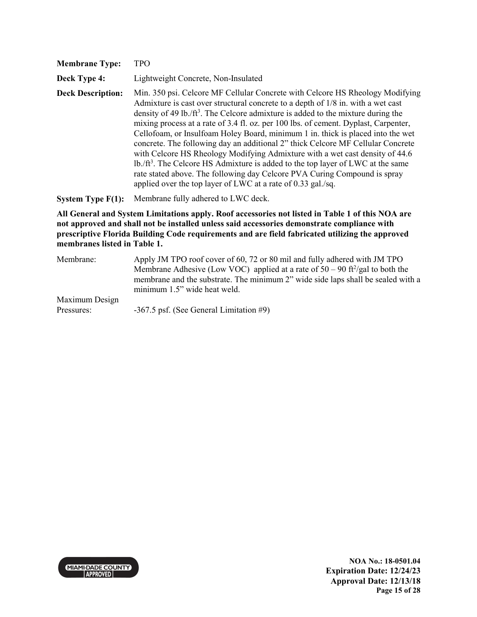| <b>Membrane Type:</b>    | TPO                                                                                                                                                                                                                                                                                                                                                                                                                                                                                                                                                                                                                                                                                                                                                                                                                                                          |
|--------------------------|--------------------------------------------------------------------------------------------------------------------------------------------------------------------------------------------------------------------------------------------------------------------------------------------------------------------------------------------------------------------------------------------------------------------------------------------------------------------------------------------------------------------------------------------------------------------------------------------------------------------------------------------------------------------------------------------------------------------------------------------------------------------------------------------------------------------------------------------------------------|
| Deck Type 4:             | Lightweight Concrete, Non-Insulated                                                                                                                                                                                                                                                                                                                                                                                                                                                                                                                                                                                                                                                                                                                                                                                                                          |
| <b>Deck Description:</b> | Min. 350 psi. Celcore MF Cellular Concrete with Celcore HS Rheology Modifying<br>Admixture is cast over structural concrete to a depth of 1/8 in. with a wet cast<br>density of 49 lb./ft <sup>3</sup> . The Celcore admixture is added to the mixture during the<br>mixing process at a rate of 3.4 fl. oz. per 100 lbs. of cement. Dyplast, Carpenter,<br>Cellofoam, or Insulfoam Holey Board, minimum 1 in. thick is placed into the wet<br>concrete. The following day an additional 2" thick Celcore MF Cellular Concrete<br>with Celcore HS Rheology Modifying Admixture with a wet cast density of 44.6<br>$lb$ /ft <sup>3</sup> . The Celcore HS Admixture is added to the top layer of LWC at the same<br>rate stated above. The following day Celcore PVA Curing Compound is spray<br>applied over the top layer of LWC at a rate of 0.33 gal./sq. |
| System Type $F(1)$ :     | Membrane fully adhered to LWC deck.                                                                                                                                                                                                                                                                                                                                                                                                                                                                                                                                                                                                                                                                                                                                                                                                                          |
|                          | All General and System Limitations apply. Roof accessories not listed in Table 1 of this NOA are<br>not approved and shall not be installed unless said accessories demonstrate compliance with<br>prescriptive Florida Building Code requirements and are field fabricated utilizing the approved                                                                                                                                                                                                                                                                                                                                                                                                                                                                                                                                                           |

**membranes listed in Table 1.** Membrane: Apply JM TPO roof cover of 60, 72 or 80 mil and fully adhered with JM TPO Membrane Adhesive (Low VOC) applied at a rate of  $50 - 90$  ft<sup>2</sup>/gal to both the membrane and the substrate. The minimum 2" wide side laps shall be sealed with a minimum 1.5" wide heat weld.

Maximum Design Pressures: -367.5 psf. (See General Limitation #9)

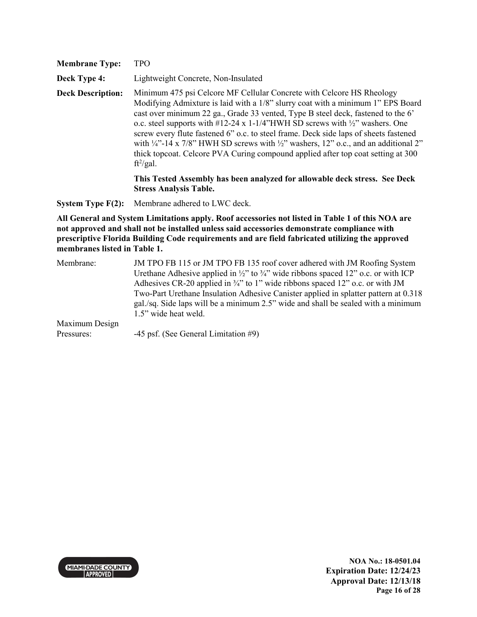| <b>Membrane Type:</b>    | <b>TPO</b>                                                                                                                                                                                                                                                                                                                                                                                                                                                                                                                                                                                                                                     |
|--------------------------|------------------------------------------------------------------------------------------------------------------------------------------------------------------------------------------------------------------------------------------------------------------------------------------------------------------------------------------------------------------------------------------------------------------------------------------------------------------------------------------------------------------------------------------------------------------------------------------------------------------------------------------------|
| Deck Type 4:             | Lightweight Concrete, Non-Insulated                                                                                                                                                                                                                                                                                                                                                                                                                                                                                                                                                                                                            |
| <b>Deck Description:</b> | Minimum 475 psi Celcore MF Cellular Concrete with Celcore HS Rheology<br>Modifying Admixture is laid with a 1/8" slurry coat with a minimum 1" EPS Board<br>cast over minimum 22 ga., Grade 33 vented, Type B steel deck, fastened to the 6'<br>o.c. steel supports with #12-24 x 1-1/4"HWH SD screws with $\frac{1}{2}$ " washers. One<br>screw every flute fastened 6" o.c. to steel frame. Deck side laps of sheets fastened<br>with $\frac{1}{4}$ -14 x 7/8" HWH SD screws with $\frac{1}{2}$ " washers, 12" o.c., and an additional 2"<br>thick topcoat. Celcore PVA Curing compound applied after top coat setting at 300<br>$ft^2/gal.$ |
|                          | This Tested Assembly has been analyzed for allowable deck stress. See Deck<br><b>Stress Analysis Table.</b>                                                                                                                                                                                                                                                                                                                                                                                                                                                                                                                                    |

**System Type F(2):** Membrane adhered to LWC deck.

| Membrane:      | JM TPO FB 115 or JM TPO FB 135 roof cover adhered with JM Roofing System                                 |
|----------------|----------------------------------------------------------------------------------------------------------|
|                | Urethane Adhesive applied in $\frac{1}{2}$ " to $\frac{3}{4}$ " wide ribbons spaced 12" o.c. or with ICP |
|                | Adhesives CR-20 applied in $\frac{3}{4}$ " to 1" wide ribbons spaced 12" o.c. or with JM                 |
|                | Two-Part Urethane Insulation Adhesive Canister applied in splatter pattern at 0.318                      |
|                | $gal./sq$ . Side laps will be a minimum 2.5" wide and shall be sealed with a minimum                     |
|                | 1.5" wide heat weld.                                                                                     |
| Maximum Design |                                                                                                          |
| Pressures:     | $-45$ psf. (See General Limitation #9)                                                                   |

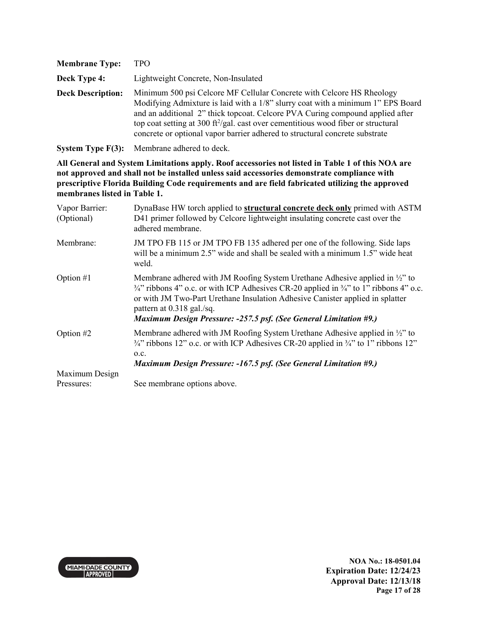| <b>Membrane Type:</b>    | <b>TPO</b>                                                                                                                                                                                                                                                                                                                                                                                                               |
|--------------------------|--------------------------------------------------------------------------------------------------------------------------------------------------------------------------------------------------------------------------------------------------------------------------------------------------------------------------------------------------------------------------------------------------------------------------|
| Deck Type 4:             | Lightweight Concrete, Non-Insulated                                                                                                                                                                                                                                                                                                                                                                                      |
| <b>Deck Description:</b> | Minimum 500 psi Celcore MF Cellular Concrete with Celcore HS Rheology<br>Modifying Admixture is laid with a 1/8" slurry coat with a minimum 1" EPS Board<br>and an additional 2" thick topcoat. Celcore PVA Curing compound applied after<br>top coat setting at 300 ft $\frac{2}{g}$ al. cast over cementitious wood fiber or structural<br>concrete or optional vapor barrier adhered to structural concrete substrate |

**System Type F(3):** Membrane adhered to deck.

| Vapor Barrier:<br>(Optional) | DynaBase HW torch applied to <b>structural concrete deck only</b> primed with ASTM<br>D41 primer followed by Celcore lightweight insulating concrete cast over the<br>adhered membrane.                                                                                                                                                                                                         |
|------------------------------|-------------------------------------------------------------------------------------------------------------------------------------------------------------------------------------------------------------------------------------------------------------------------------------------------------------------------------------------------------------------------------------------------|
| Membrane:                    | JM TPO FB 115 or JM TPO FB 135 adhered per one of the following. Side laps<br>will be a minimum 2.5" wide and shall be sealed with a minimum 1.5" wide heat<br>weld.                                                                                                                                                                                                                            |
| Option $#1$                  | Membrane adhered with JM Roofing System Urethane Adhesive applied in $\frac{1}{2}$ to<br>$\frac{3}{4}$ " ribbons 4" o.c. or with ICP Adhesives CR-20 applied in $\frac{3}{4}$ " to 1" ribbons 4" o.c.<br>or with JM Two-Part Urethane Insulation Adhesive Canister applied in splatter<br>pattern at 0.318 gal./sq.<br><b>Maximum Design Pressure: -257.5 psf. (See General Limitation #9.)</b> |
| Option #2                    | Membrane adhered with JM Roofing System Urethane Adhesive applied in $\frac{1}{2}$ to<br>$\frac{3}{4}$ " ribbons 12" o.c. or with ICP Adhesives CR-20 applied in $\frac{3}{4}$ " to 1" ribbons 12"<br>0.C.<br><b>Maximum Design Pressure: -167.5 psf. (See General Limitation #9.)</b>                                                                                                          |
| Maximum Design               |                                                                                                                                                                                                                                                                                                                                                                                                 |
| Pressures:                   | See membrane options above.                                                                                                                                                                                                                                                                                                                                                                     |

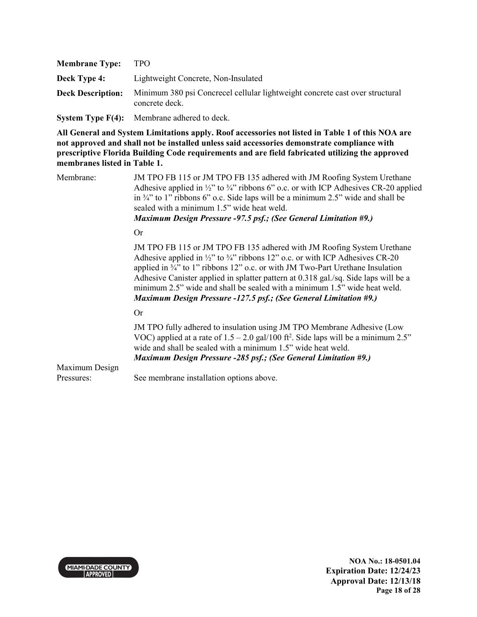| <b>Membrane Type:</b>    | TPO.                                                                                           |
|--------------------------|------------------------------------------------------------------------------------------------|
| <b>Deck Type 4:</b>      | Lightweight Concrete, Non-Insulated                                                            |
| <b>Deck Description:</b> | Minimum 380 psi Concrecel cellular lightweight concrete cast over structural<br>concrete deck. |

**System Type F(4):** Membrane adhered to deck.

**All General and System Limitations apply. Roof accessories not listed in Table 1 of this NOA are not approved and shall not be installed unless said accessories demonstrate compliance with prescriptive Florida Building Code requirements and are field fabricated utilizing the approved membranes listed in Table 1.**

Membrane: JM TPO FB 115 or JM TPO FB 135 adhered with JM Roofing System Urethane Adhesive applied in  $\frac{1}{2}$ " to  $\frac{3}{4}$ " ribbons 6" o.c. or with ICP Adhesives CR-20 applied in ¾" to 1" ribbons 6" o.c. Side laps will be a minimum 2.5" wide and shall be sealed with a minimum 1.5" wide heat weld. *Maximum Design Pressure -97.5 psf.; (See General Limitation #9.)* Or JM TPO FB 115 or JM TPO FB 135 adhered with JM Roofing System Urethane Adhesive applied in  $\frac{1}{2}$ " to  $\frac{3}{4}$ " ribbons 12" o.c. or with ICP Adhesives CR-20 applied in  $\frac{3}{4}$ " to 1" ribbons 12" o.c. or with JM Two-Part Urethane Insulation Adhesive Canister applied in splatter pattern at 0.318 gal./sq. Side laps will be a minimum 2.5" wide and shall be sealed with a minimum 1.5" wide heat weld. *Maximum Design Pressure -127.5 psf.; (See General Limitation #9.)*  Or JM TPO fully adhered to insulation using JM TPO Membrane Adhesive (Low VOC) applied at a rate of  $1.5 - 2.0$  gal/100 ft<sup>2</sup>. Side laps will be a minimum 2.5" wide and shall be sealed with a minimum 1.5" wide heat weld. *Maximum Design Pressure -285 psf.; (See General Limitation #9.)*  Maximum Design Pressures: See membrane installation options above.



**NOA No.: 18-0501.04 Expiration Date: 12/24/23 Approval Date: 12/13/18 Page 18 of 28**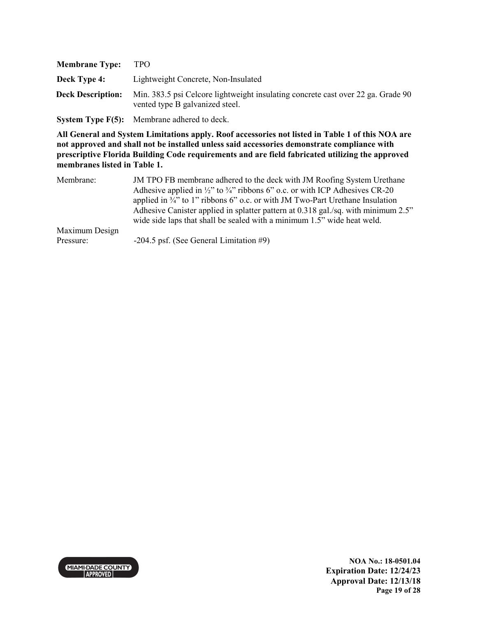| <b>Membrane Type:</b>    | <b>TPO</b>                                                                                                          |
|--------------------------|---------------------------------------------------------------------------------------------------------------------|
| <b>Deck Type 4:</b>      | Lightweight Concrete, Non-Insulated                                                                                 |
| <b>Deck Description:</b> | Min. 383.5 psi Celcore lightweight insulating concrete cast over 22 ga. Grade 90<br>vented type B galvanized steel. |
|                          |                                                                                                                     |

**System Type F(5):** Membrane adhered to deck.

| Membrane:      | JM TPO FB membrane adhered to the deck with JM Roofing System Urethane<br>Adhesive applied in $\frac{1}{2}$ " to $\frac{3}{4}$ " ribbons 6" o.c. or with ICP Adhesives CR-20<br>applied in $\frac{3}{4}$ " to 1" ribbons 6" o.c. or with JM Two-Part Urethane Insulation<br>Adhesive Canister applied in splatter pattern at 0.318 gal./sq. with minimum 2.5"<br>wide side laps that shall be sealed with a minimum 1.5" wide heat weld. |
|----------------|------------------------------------------------------------------------------------------------------------------------------------------------------------------------------------------------------------------------------------------------------------------------------------------------------------------------------------------------------------------------------------------------------------------------------------------|
| Maximum Design |                                                                                                                                                                                                                                                                                                                                                                                                                                          |
| Pressure:      | $-204.5$ psf. (See General Limitation #9)                                                                                                                                                                                                                                                                                                                                                                                                |

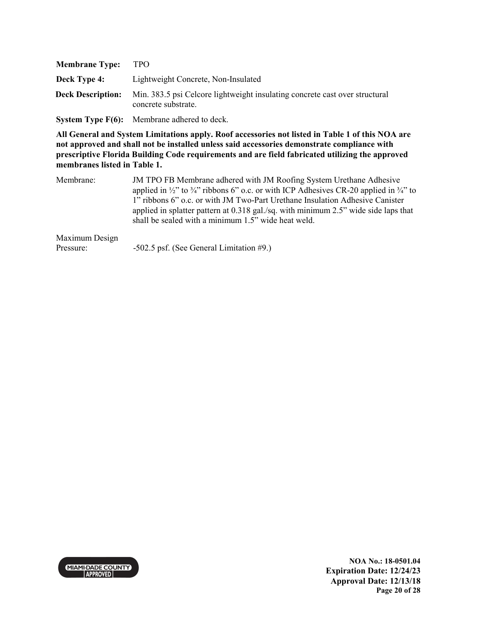| <b>Membrane Type:</b>    | TPO.                                                                                               |
|--------------------------|----------------------------------------------------------------------------------------------------|
| Deck Type 4:             | Lightweight Concrete, Non-Insulated                                                                |
| <b>Deck Description:</b> | Min. 383.5 psi Celcore lightweight insulating concrete cast over structural<br>concrete substrate. |

**System Type F(6):** Membrane adhered to deck.

**All General and System Limitations apply. Roof accessories not listed in Table 1 of this NOA are not approved and shall not be installed unless said accessories demonstrate compliance with prescriptive Florida Building Code requirements and are field fabricated utilizing the approved membranes listed in Table 1.**

| Membrane: | JM TPO FB Membrane adhered with JM Roofing System Urethane Adhesive                                                     |
|-----------|-------------------------------------------------------------------------------------------------------------------------|
|           | applied in $\frac{1}{2}$ " to $\frac{3}{4}$ " ribbons 6" o.c. or with ICP Adhesives CR-20 applied in $\frac{3}{4}$ " to |
|           | 1" ribbons 6" o.c. or with JM Two-Part Urethane Insulation Adhesive Canister                                            |
|           | applied in splatter pattern at $0.318$ gal./sq. with minimum 2.5" wide side laps that                                   |
|           | shall be sealed with a minimum 1.5" wide heat weld.                                                                     |

#### Maximum Design

Pressure: -502.5 psf. (See General Limitation #9.)

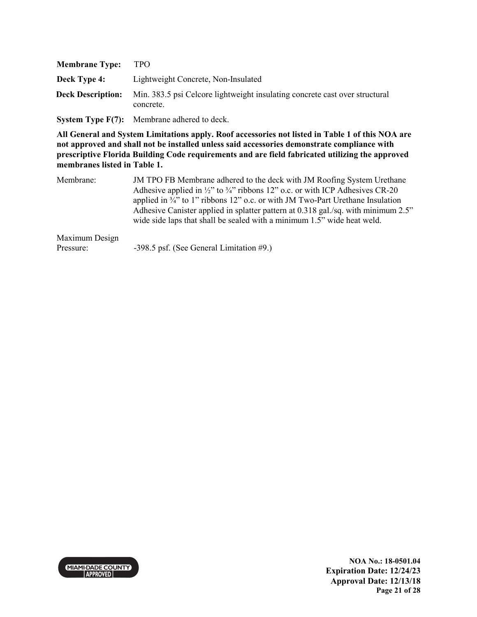| <b>Membrane Type:</b>    | TPO.                                                                                     |
|--------------------------|------------------------------------------------------------------------------------------|
| <b>Deck Type 4:</b>      | Lightweight Concrete, Non-Insulated                                                      |
| <b>Deck Description:</b> | Min. 383.5 psi Celcore lightweight insulating concrete cast over structural<br>concrete. |
|                          |                                                                                          |

**System Type F(7):** Membrane adhered to deck.

**All General and System Limitations apply. Roof accessories not listed in Table 1 of this NOA are not approved and shall not be installed unless said accessories demonstrate compliance with prescriptive Florida Building Code requirements and are field fabricated utilizing the approved membranes listed in Table 1.**

| Membrane: | JM TPO FB Membrane adhered to the deck with JM Roofing System Urethane<br>Adhesive applied in $\frac{1}{2}$ " to $\frac{3}{4}$ " ribbons 12" o.c. or with ICP Adhesives CR-20<br>applied in $\frac{3}{4}$ " to 1" ribbons 12" o.c. or with JM Two-Part Urethane Insulation<br>Adhesive Canister applied in splatter pattern at 0.318 gal./sq. with minimum 2.5" |
|-----------|-----------------------------------------------------------------------------------------------------------------------------------------------------------------------------------------------------------------------------------------------------------------------------------------------------------------------------------------------------------------|
|           | wide side laps that shall be sealed with a minimum 1.5" wide heat weld.                                                                                                                                                                                                                                                                                         |

#### Maximum Design

Pressure: -398.5 psf. (See General Limitation #9.)

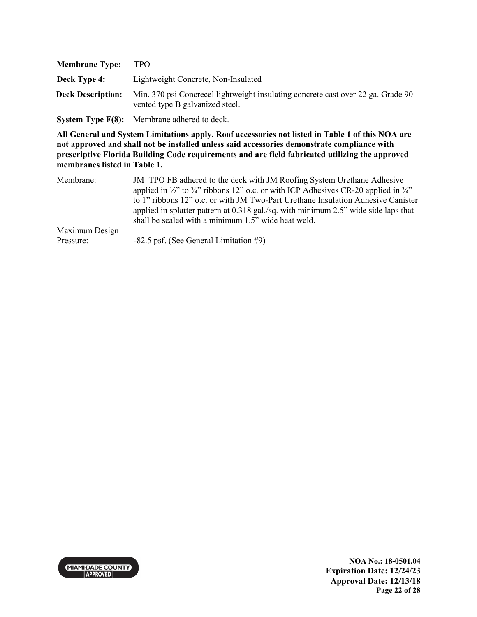| <b>Membrane Type:</b>    | TPO.                                                                                                                |
|--------------------------|---------------------------------------------------------------------------------------------------------------------|
| Deck Type 4:             | Lightweight Concrete, Non-Insulated                                                                                 |
| <b>Deck Description:</b> | Min. 370 psi Concrecel lightweight insulating concrete cast over 22 ga. Grade 90<br>vented type B galvanized steel. |
|                          | <b>System Type <math>F(8)</math>:</b> Membrane adhered to deck.                                                     |

| Membrane:      | JM TPO FB adhered to the deck with JM Roofing System Urethane Adhesive<br>applied in $\frac{1}{2}$ " to $\frac{3}{4}$ " ribbons 12" o.c. or with ICP Adhesives CR-20 applied in $\frac{3}{4}$ "<br>to 1" ribbons 12" o.c. or with JM Two-Part Urethane Insulation Adhesive Canister<br>applied in splatter pattern at 0.318 gal./sq. with minimum 2.5" wide side laps that<br>shall be sealed with a minimum 1.5" wide heat weld. |
|----------------|-----------------------------------------------------------------------------------------------------------------------------------------------------------------------------------------------------------------------------------------------------------------------------------------------------------------------------------------------------------------------------------------------------------------------------------|
| Maximum Design |                                                                                                                                                                                                                                                                                                                                                                                                                                   |
| Pressure:      | $-82.5$ psf. (See General Limitation #9)                                                                                                                                                                                                                                                                                                                                                                                          |

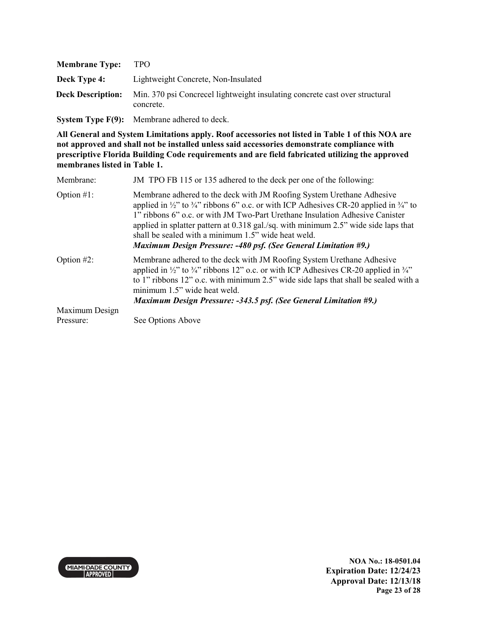| <b>Membrane Type:</b>    | TPO.                                                                                     |
|--------------------------|------------------------------------------------------------------------------------------|
| Deck Type 4:             | Lightweight Concrete, Non-Insulated                                                      |
| <b>Deck Description:</b> | Min. 370 psi Concrecel lightweight insulating concrete cast over structural<br>concrete. |

**System Type F(9):** Membrane adhered to deck.

**All General and System Limitations apply. Roof accessories not listed in Table 1 of this NOA are not approved and shall not be installed unless said accessories demonstrate compliance with prescriptive Florida Building Code requirements and are field fabricated utilizing the approved membranes listed in Table 1.**

| Membrane:      | JM TPO FB 115 or 135 adhered to the deck per one of the following:                                                                                                                                                                                                                                                                                                                                                                                                                                       |
|----------------|----------------------------------------------------------------------------------------------------------------------------------------------------------------------------------------------------------------------------------------------------------------------------------------------------------------------------------------------------------------------------------------------------------------------------------------------------------------------------------------------------------|
| Option $#1$ :  | Membrane adhered to the deck with JM Roofing System Urethane Adhesive<br>applied in $\frac{1}{2}$ " to $\frac{3}{4}$ " ribbons 6" o.c. or with ICP Adhesives CR-20 applied in $\frac{3}{4}$ " to<br>1" ribbons 6" o.c. or with JM Two-Part Urethane Insulation Adhesive Canister<br>applied in splatter pattern at 0.318 gal./sq. with minimum 2.5" wide side laps that<br>shall be sealed with a minimum 1.5" wide heat weld.<br><b>Maximum Design Pressure: -480 psf. (See General Limitation #9.)</b> |
| Option $#2$ :  | Membrane adhered to the deck with JM Roofing System Urethane Adhesive<br>applied in $\frac{1}{2}$ " to $\frac{3}{4}$ " ribbons 12" o.c. or with ICP Adhesives CR-20 applied in $\frac{3}{4}$ "<br>to 1" ribbons 12" o.c. with minimum 2.5" wide side laps that shall be sealed with a<br>minimum 1.5" wide heat weld.<br><b>Maximum Design Pressure: -343.5 psf. (See General Limitation #9.)</b>                                                                                                        |
| Maximum Design |                                                                                                                                                                                                                                                                                                                                                                                                                                                                                                          |
| Pressure:      | See Options Above                                                                                                                                                                                                                                                                                                                                                                                                                                                                                        |



**NOA No.: 18-0501.04 Expiration Date: 12/24/23 Approval Date: 12/13/18 Page 23 of 28**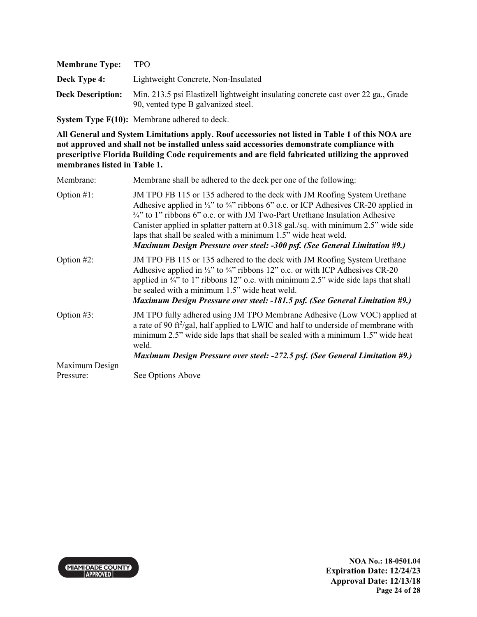| <b>Membrane Type:</b>    | TPO.                                                                                                                     |
|--------------------------|--------------------------------------------------------------------------------------------------------------------------|
| Deck Type 4:             | Lightweight Concrete, Non-Insulated                                                                                      |
| <b>Deck Description:</b> | Min. 213.5 psi Elastizell lightweight insulating concrete cast over 22 ga., Grade<br>90, vented type B galvanized steel. |

**System Type F(10):** Membrane adhered to deck.

| Membrane:      | Membrane shall be adhered to the deck per one of the following:                                                                                                                                                                                                                                                                                                                                                                                                                                                     |
|----------------|---------------------------------------------------------------------------------------------------------------------------------------------------------------------------------------------------------------------------------------------------------------------------------------------------------------------------------------------------------------------------------------------------------------------------------------------------------------------------------------------------------------------|
| Option $#1$ :  | JM TPO FB 115 or 135 adhered to the deck with JM Roofing System Urethane<br>Adhesive applied in $\frac{1}{2}$ " to $\frac{3}{4}$ " ribbons 6" o.c. or ICP Adhesives CR-20 applied in<br>$\frac{3}{4}$ " to 1" ribbons 6" o.c. or with JM Two-Part Urethane Insulation Adhesive<br>Canister applied in splatter pattern at 0.318 gal./sq. with minimum 2.5" wide side<br>laps that shall be sealed with a minimum 1.5" wide heat weld.<br>Maximum Design Pressure over steel: -300 psf. (See General Limitation #9.) |
| Option $#2$ :  | JM TPO FB 115 or 135 adhered to the deck with JM Roofing System Urethane<br>Adhesive applied in $\frac{1}{2}$ " to $\frac{3}{4}$ " ribbons 12" o.c. or with ICP Adhesives CR-20<br>applied in $\frac{3}{4}$ " to 1" ribbons 12" o.c. with minimum 2.5" wide side laps that shall<br>be sealed with a minimum 1.5" wide heat weld.<br>Maximum Design Pressure over steel: -181.5 psf. (See General Limitation #9.)                                                                                                   |
| Option $#3$ :  | JM TPO fully adhered using JM TPO Membrane Adhesive (Low VOC) applied at<br>a rate of 90 ft <sup>2</sup> /gal, half applied to LWIC and half to underside of membrane with<br>minimum 2.5" wide side laps that shall be sealed with a minimum 1.5" wide heat<br>weld.<br>Maximum Design Pressure over steel: -272.5 psf. (See General Limitation #9.)                                                                                                                                                               |
| Maximum Design |                                                                                                                                                                                                                                                                                                                                                                                                                                                                                                                     |
| Pressure:      | See Options Above                                                                                                                                                                                                                                                                                                                                                                                                                                                                                                   |

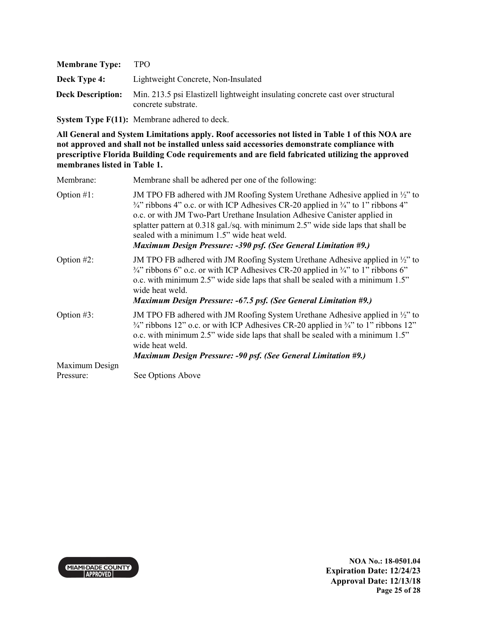| <b>Membrane Type:</b>    | TPO.                                                                                                  |
|--------------------------|-------------------------------------------------------------------------------------------------------|
| Deck Type 4:             | Lightweight Concrete, Non-Insulated                                                                   |
| <b>Deck Description:</b> | Min. 213.5 psi Elastizell lightweight insulating concrete cast over structural<br>concrete substrate. |

**System Type F(11):** Membrane adhered to deck.

**All General and System Limitations apply. Roof accessories not listed in Table 1 of this NOA are not approved and shall not be installed unless said accessories demonstrate compliance with prescriptive Florida Building Code requirements and are field fabricated utilizing the approved membranes listed in Table 1.**

| Membrane:      | Membrane shall be adhered per one of the following:                                                                                                                                                                                                                                                                                                                                                                                                                                         |
|----------------|---------------------------------------------------------------------------------------------------------------------------------------------------------------------------------------------------------------------------------------------------------------------------------------------------------------------------------------------------------------------------------------------------------------------------------------------------------------------------------------------|
| Option $#1$ :  | JM TPO FB adhered with JM Roofing System Urethane Adhesive applied in $\frac{1}{2}$ to<br>$\frac{3}{4}$ " ribbons 4" o.c. or with ICP Adhesives CR-20 applied in $\frac{3}{4}$ " to 1" ribbons 4"<br>o.c. or with JM Two-Part Urethane Insulation Adhesive Canister applied in<br>splatter pattern at 0.318 gal./sq. with minimum 2.5" wide side laps that shall be<br>sealed with a minimum 1.5" wide heat weld.<br><b>Maximum Design Pressure: -390 psf. (See General Limitation #9.)</b> |
| Option $#2$ :  | JM TPO FB adhered with JM Roofing System Urethane Adhesive applied in $\frac{1}{2}$ to<br>$\frac{3}{4}$ " ribbons 6" o.c. or with ICP Adhesives CR-20 applied in $\frac{3}{4}$ " to 1" ribbons 6"<br>o.c. with minimum 2.5" wide side laps that shall be sealed with a minimum 1.5"<br>wide heat weld.<br><b>Maximum Design Pressure: -67.5 psf. (See General Limitation #9.)</b>                                                                                                           |
| Option $#3$ :  | JM TPO FB adhered with JM Roofing System Urethane Adhesive applied in $\frac{1}{2}$ to<br>$\frac{3}{4}$ " ribbons 12" o.c. or with ICP Adhesives CR-20 applied in $\frac{3}{4}$ " to 1" ribbons 12"<br>o.c. with minimum 2.5" wide side laps that shall be sealed with a minimum 1.5"<br>wide heat weld.<br><b>Maximum Design Pressure: -90 psf. (See General Limitation #9.)</b>                                                                                                           |
| Maximum Design |                                                                                                                                                                                                                                                                                                                                                                                                                                                                                             |
| Pressure:      | See Options Above                                                                                                                                                                                                                                                                                                                                                                                                                                                                           |



**NOA No.: 18-0501.04 Expiration Date: 12/24/23 Approval Date: 12/13/18 Page 25 of 28**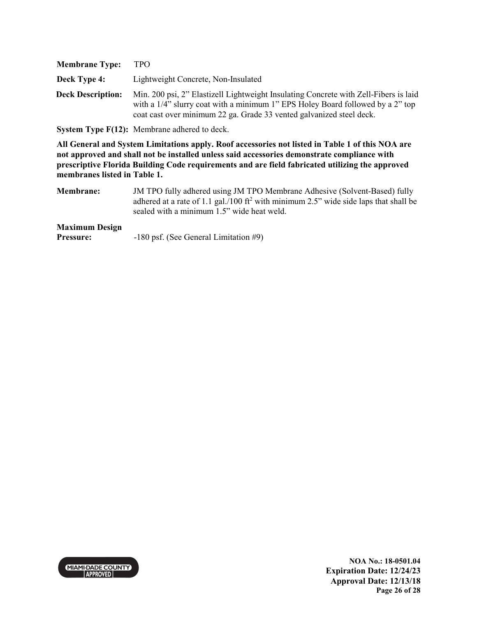| <b>Membrane Type:</b>    | <b>TPO</b>                                                                                                                                                                                                                                     |
|--------------------------|------------------------------------------------------------------------------------------------------------------------------------------------------------------------------------------------------------------------------------------------|
| <b>Deck Type 4:</b>      | Lightweight Concrete, Non-Insulated                                                                                                                                                                                                            |
| <b>Deck Description:</b> | Min. 200 psi, 2" Elastizell Lightweight Insulating Concrete with Zell-Fibers is laid<br>with a 1/4" slurry coat with a minimum 1" EPS Holey Board followed by a 2" top<br>coat cast over minimum 22 ga. Grade 33 vented galvanized steel deck. |

**System Type F(12):** Membrane adhered to deck.

**All General and System Limitations apply. Roof accessories not listed in Table 1 of this NOA are not approved and shall not be installed unless said accessories demonstrate compliance with prescriptive Florida Building Code requirements and are field fabricated utilizing the approved membranes listed in Table 1.**

**Membrane:** JM TPO fully adhered using JM TPO Membrane Adhesive (Solvent-Based) fully adhered at a rate of 1.1 gal./100 ft<sup>2</sup> with minimum 2.5" wide side laps that shall be sealed with a minimum 1.5" wide heat weld.

#### **Maximum Design**

**Pressure:** -180 psf. (See General Limitation #9)

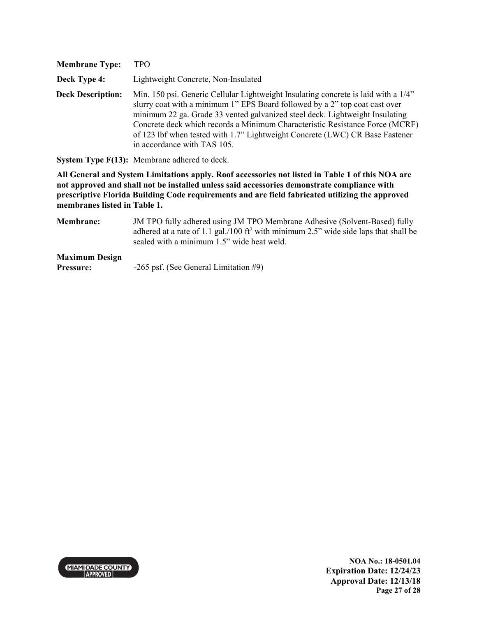| <b>Membrane Type:</b>    | TPO.                                                                                                                                                                                                                                                                                                                                                                                                                                             |
|--------------------------|--------------------------------------------------------------------------------------------------------------------------------------------------------------------------------------------------------------------------------------------------------------------------------------------------------------------------------------------------------------------------------------------------------------------------------------------------|
| Deck Type 4:             | Lightweight Concrete, Non-Insulated                                                                                                                                                                                                                                                                                                                                                                                                              |
| <b>Deck Description:</b> | Min. 150 psi. Generic Cellular Lightweight Insulating concrete is laid with a 1/4"<br>slurry coat with a minimum 1" EPS Board followed by a 2" top coat cast over<br>minimum 22 ga. Grade 33 vented galvanized steel deck. Lightweight Insulating<br>Concrete deck which records a Minimum Characteristic Resistance Force (MCRF)<br>of 123 lbf when tested with 1.7" Lightweight Concrete (LWC) CR Base Fastener<br>in accordance with TAS 105. |

**System Type F(13):** Membrane adhered to deck.

**All General and System Limitations apply. Roof accessories not listed in Table 1 of this NOA are not approved and shall not be installed unless said accessories demonstrate compliance with prescriptive Florida Building Code requirements and are field fabricated utilizing the approved membranes listed in Table 1.**

**Membrane:** JM TPO fully adhered using JM TPO Membrane Adhesive (Solvent-Based) fully adhered at a rate of 1.1 gal./100 ft<sup>2</sup> with minimum 2.5" wide side laps that shall be sealed with a minimum 1.5" wide heat weld.

**Maximum Design Pressure:**  $-265$  psf. (See General Limitation #9)